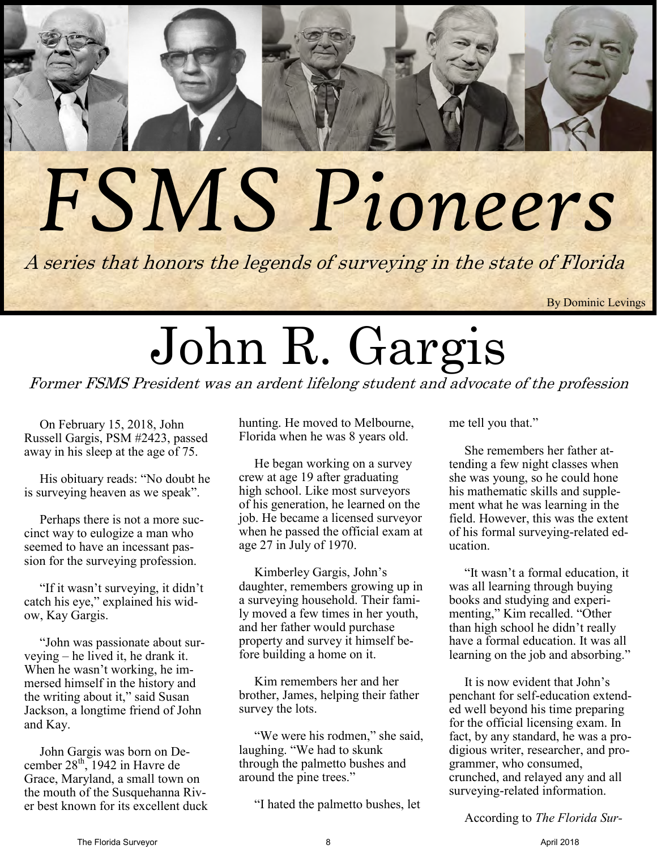## *FSMS Pioneers*

A series that honors the legends of surveying in the state of Florida

By Dominic Levings

## John R. Gargis

Former FSMS President was an ardent lifelong student and advocate of the profession

On February 15, 2018, John Russell Gargis, PSM #2423, passed away in his sleep at the age of 75.

His obituary reads: "No doubt he is surveying heaven as we speak".

Perhaps there is not a more succinct way to eulogize a man who seemed to have an incessant passion for the surveying profession.

"If it wasn't surveying, it didn't catch his eye," explained his widow, Kay Gargis.

"John was passionate about surveying – he lived it, he drank it. When he wasn't working, he immersed himself in the history and the writing about it," said Susan Jackson, a longtime friend of John and Kay.

John Gargis was born on December  $28<sup>th</sup>$ , 1942 in Havre de Grace, Maryland, a small town on the mouth of the Susquehanna River best known for its excellent duck hunting. He moved to Melbourne, Florida when he was 8 years old.

He began working on a survey crew at age 19 after graduating high school. Like most surveyors of his generation, he learned on the job. He became a licensed surveyor when he passed the official exam at age 27 in July of 1970.

Kimberley Gargis, John's daughter, remembers growing up in a surveying household. Their family moved a few times in her youth, and her father would purchase property and survey it himself before building a home on it.

Kim remembers her and her brother, James, helping their father survey the lots.

"We were his rodmen," she said, laughing. "We had to skunk through the palmetto bushes and around the pine trees."

"I hated the palmetto bushes, let

me tell you that."

She remembers her father attending a few night classes when she was young, so he could hone his mathematic skills and supplement what he was learning in the field. However, this was the extent of his formal surveying-related education.

"It wasn't a formal education, it was all learning through buying books and studying and experimenting," Kim recalled. "Other than high school he didn't really have a formal education. It was all learning on the job and absorbing."

It is now evident that John's penchant for self-education extended well beyond his time preparing for the official licensing exam. In fact, by any standard, he was a prodigious writer, researcher, and programmer, who consumed, crunched, and relayed any and all surveying-related information.

According to *The Florida Sur-*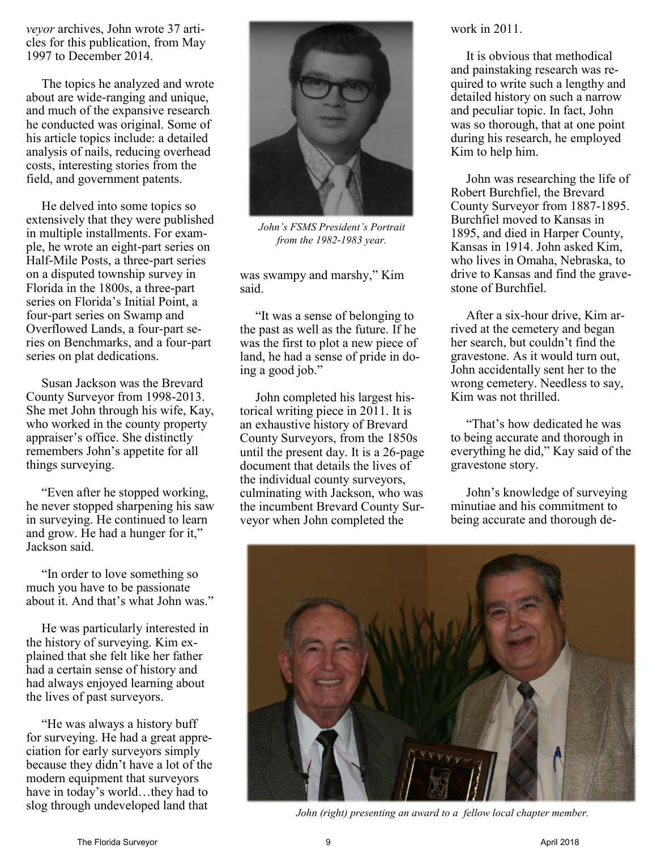*veyor* archives, John wrote 37 articles for this publication, from May 1997 to December 2014.

The topics he analyzed and wrote about are wide-ranging and unique, and much of the expansive research he conducted was original. Some of his article topics include: a detailed analysis of nails, reducing overhead costs, interesting stories from the field, and government patents.

He delved into some topics so extensively that they were published in multiple installments. For example, he wrote an eight-part series on Half-Mile Posts, a three-part series on a disputed township survey in Florida in the 1800s, a three-part series on Florida's Initial Point, a four-part series on Swamp and Overflowed Lands, a four-part series on Benchmarks, and a four-part series on plat dedications.

Susan Jackson was the Brevard County Surveyor from 1998-2013. She met John through his wife, Kay, who worked in the county property appraiser's office. She distinctly remembers John's appetite for all things surveying.

"Even after he stopped working, he never stopped sharpening his saw in surveying. He continued to learn and grow. He had a hunger for it," Jackson said.

"In order to love something so much you have to be passionate about it. And that's what John was."

He was particularly interested in the history of surveying. Kim explained that she felt like her father had a certain sense of history and had always enjoyed learning about the lives of past surveyors.

"He was always a history buff for surveying. He had a great appreciation for early surveyors simply because they didn't have a lot of the modern equipment that surveyors have in today's world...they had to slog through undeveloped land that



*John's FSMS President's Portrait from the 1982-1983 year.*

was swampy and marshy," Kim said.

"It was a sense of belonging to the past as well as the future. If he was the first to plot a new piece of land, he had a sense of pride in doing a good job."

John completed his largest historical writing piece in 2011. It is an exhaustive history of Brevard County Surveyors, from the 1850s until the present day. It is a 26-page document that details the lives of the individual county surveyors, culminating with Jackson, who was the incumbent Brevard County Surveyor when John completed the

work in 2011.

It is obvious that methodical and painstaking research was required to write such a lengthy and detailed history on such a narrow and peculiar topic. In fact, John was so thorough, that at one point during his research, he employed Kim to help him.

John was researching the life of Robert Burchfiel, the Brevard County Surveyor from 1887-1895. Burchfiel moved to Kansas in 1895, and died in Harper County, Kansas in 1914. John asked Kim, who lives in Omaha, Nebraska, to drive to Kansas and find the gravestone of Burchfiel.

After a six-hour drive, Kim arrived at the cemetery and began her search, but couldn't find the gravestone. As it would turn out, John accidentally sent her to the wrong cemetery. Needless to say, Kim was not thrilled.

"That's how dedicated he was to being accurate and thorough in everything he did," Kay said of the gravestone story.

John's knowledge of surveying minutiae and his commitment to being accurate and thorough de-



*John (right) presenting an award to a fellow local chapter member.*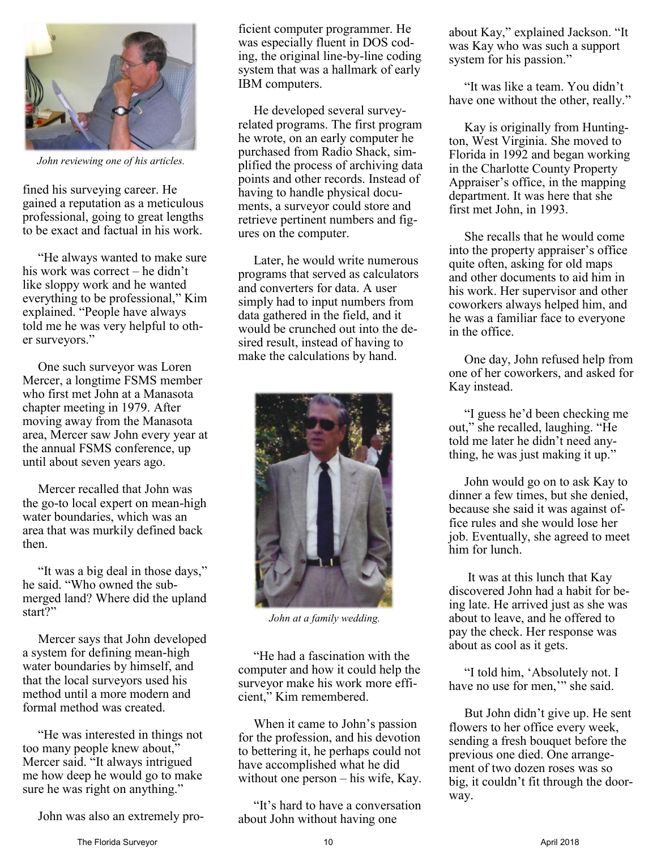

*John reviewing one of his articles.*

fined his surveying career. He gained a reputation as a meticulous professional, going to great lengths to be exact and factual in his work.

"He always wanted to make sure his work was correct – he didn't like sloppy work and he wanted everything to be professional," Kim explained. "People have always told me he was very helpful to other surveyors."

One such surveyor was Loren Mercer, a longtime FSMS member who first met John at a Manasota chapter meeting in 1979. After moving away from the Manasota area, Mercer saw John every year at the annual FSMS conference, up until about seven years ago.

Mercer recalled that John was the go-to local expert on mean-high water boundaries, which was an area that was murkily defined back then.

"It was a big deal in those days," he said. "Who owned the submerged land? Where did the upland start?"

Mercer says that John developed a system for defining mean-high water boundaries by himself, and that the local surveyors used his method until a more modern and formal method was created.

"He was interested in things not too many people knew about," Mercer said. "It always intrigued me how deep he would go to make sure he was right on anything."

John was also an extremely pro-

ficient computer programmer. He was especially fluent in DOS coding, the original line-by-line coding system that was a hallmark of early IBM computers.

He developed several surveyrelated programs. The first program he wrote, on an early computer he purchased from Radio Shack, simplified the process of archiving data points and other records. Instead of having to handle physical documents, a surveyor could store and retrieve pertinent numbers and figures on the computer.

Later, he would write numerous programs that served as calculators and converters for data. A user simply had to input numbers from data gathered in the field, and it would be crunched out into the desired result, instead of having to make the calculations by hand.



*John at a family wedding.*

"He had a fascination with the computer and how it could help the surveyor make his work more efficient," Kim remembered.

When it came to John's passion for the profession, and his devotion to bettering it, he perhaps could not have accomplished what he did without one person – his wife, Kay.

"It's hard to have a conversation about John without having one

about Kay," explained Jackson. "It was Kay who was such a support system for his passion."

"It was like a team. You didn't have one without the other, really."

Kay is originally from Huntington, West Virginia. She moved to Florida in 1992 and began working in the Charlotte County Property Appraiser's office, in the mapping department. It was here that she first met John, in 1993.

She recalls that he would come into the property appraiser's office quite often, asking for old maps and other documents to aid him in his work. Her supervisor and other coworkers always helped him, and he was a familiar face to everyone in the office.

One day, John refused help from one of her coworkers, and asked for Kay instead.

"I guess he'd been checking me out," she recalled, laughing. "He told me later he didn't need anything, he was just making it up."

John would go on to ask Kay to dinner a few times, but she denied, because she said it was against office rules and she would lose her job. Eventually, she agreed to meet him for lunch.

It was at this lunch that Kay discovered John had a habit for being late. He arrived just as she was about to leave, and he offered to pay the check. Her response was about as cool as it gets.

"I told him, 'Absolutely not. I have no use for men," she said.

But John didn't give up. He sent flowers to her office every week, sending a fresh bouquet before the previous one died. One arrangement of two dozen roses was so big, it couldn't fit through the doorway.